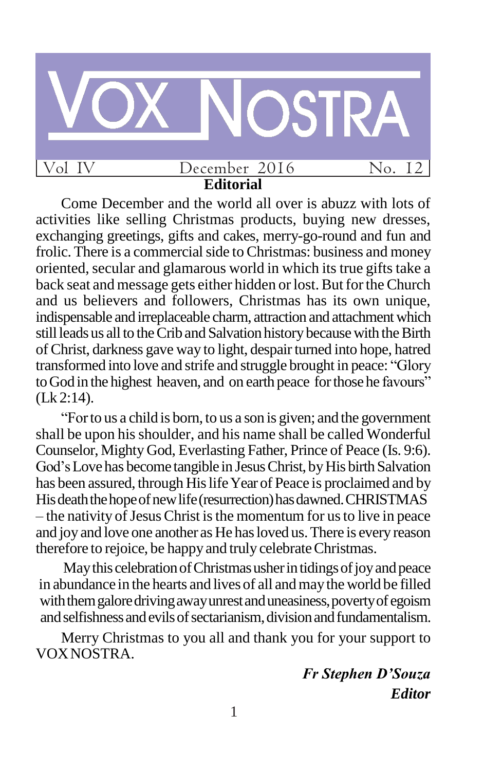

**Editorial** Come December and the world all over is abuzz with lots of

activities like selling Christmas products, buying new dresses, exchanging greetings, gifts and cakes, merry-go-round and fun and frolic. There is a commercial side to Christmas: business and money oriented, secular and glamarous world in which its true gifts take a back seat and message gets either hidden or lost. But for the Church and us believers and followers, Christmas has its own unique, indispensable and irreplaceable charm, attraction and attachment which still leads us all to the Crib and Salvation history because with the Birth of Christ, darkness gave way to light, despairturned into hope, hatred transformed into love and strife and struggle brought in peace: "Glory" to God in the highest heaven, and on earth peace for those he favours" (Lk 2:14).

―Forto us a child is born, to us a son is given; and the government shall be upon his shoulder, and his name shall be called Wonderful Counselor, Mighty God, Everlasting Father, Prince of Peace (Is. 9:6). God's Love has become tangible in Jesus Christ, by His birth Salvation has been assured, through His life Year of Peace is proclaimed and by Hisdeaththehopeofnewlife(resurrection)hasdawned.CHRISTMAS  $-$  the nativity of Jesus Christ is the momentum for us to live in peace and joy and love one another as He has loved us. There is every reason therefore to rejoice, be happy and truly celebrate Christmas.

May this celebration of Christmas usher in tidings of joy and peace in abundance in the hearts and lives of all andmaythe world be filled with them galore driving away unrest and uneasiness, poverty of egoism and selfishness and evils of sectarianism, division and fundamentalism.

Merry Christmas to you all and thank you for your support to VOXNOSTRA.

> *Fr Stephen D'Souza Editor*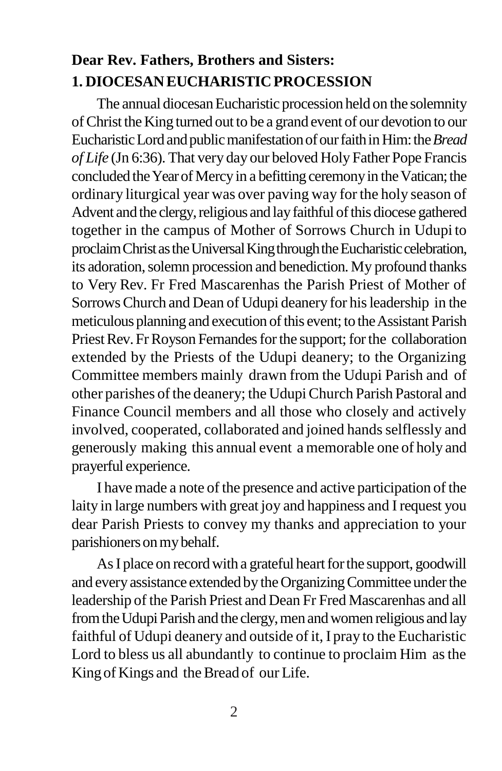# **Dear Rev. Fathers, Brothers and Sisters: 1. DIOCESANEUCHARISTICPROCESSION**

The annual diocesan Eucharistic procession held on the solemnity ofChrist theKing turned out to be a grand event of our devotion to our Eucharistic Lord and public manifestation of our faith in Him: the *Bread of Life* (Jn 6:36). That very day our beloved Holy Father Pope Francis concluded the Year of Mercy in a befitting ceremony in the Vatican; the ordinary liturgical year was over paving way forthe holy season of Advent and the clergy, religious and lay faithful of this diocese gathered together in the campus of Mother of Sorrows Church in Udupi to proclaim Christ as the Universal King through the Eucharistic celebration, its adoration, solemn procession and benediction. My profound thanks to Very Rev. Fr Fred Mascarenhas the Parish Priest of Mother of SorrowsChurch and Dean of Udupi deanery for hisleadership in the meticulous planning and execution of this event; to the Assistant Parish Priest Rev. Fr Royson Fernandes for the support; for the collaboration extended by the Priests of the Udupi deanery; to the Organizing Committee members mainly drawn from the Udupi Parish and of other parishes of the deanery; the Udupi Church Parish Pastoral and Finance Council members and all those who closely and actively involved, cooperated, collaborated and joined hands selflessly and generously making this annual event a memorable one of holy and prayerful experience.

I have made a note of the presence and active participation of the laity in large numbers with great joy and happiness and I request you dear Parish Priests to convey my thanks and appreciation to your parishioners on my behalf.

As I place on record with a grateful heart for the support, goodwill and every assistance extended by the Organizing Committee under the leadership of the Parish Priest and Dean Fr Fred Mascarenhas and all from the Udupi Parish and the clergy, men and women religious and lay faithful of Udupi deanery and outside of it, I pray to the Eucharistic Lord to bless us all abundantly to continue to proclaim Him asthe King of Kings and the Bread of our Life.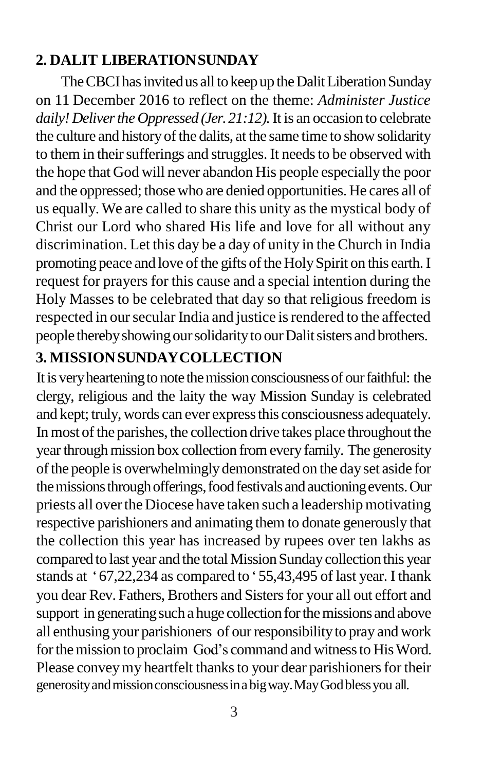## **2. DALIT LIBERATIONSUNDAY**

The CBCI has invited us all to keep up the Dalit Liberation Sunday on 11 December 2016 to reflect on the theme: *Administer Justice daily! Deliverthe Oppressed (Jer.21:12).*It is an occasion to celebrate the culture and history of the dalits, at the same time to show solidarity to them in their sufferings and struggles. It needs to be observed with the hope that God will never abandon His people especially the poor and the oppressed; those who are denied opportunities. He cares all of us equally. We are called to share this unity asthe mystical body of Christ our Lord who shared His life and love for all without any discrimination. Let this day be a day of unity in the Church in India promoting peace and love of the gifts of the Holy Spirit on this earth. I request for prayers for this cause and a special intention during the Holy Masses to be celebrated that day so that religious freedom is respected in our secular India and justice is rendered to the affected people thereby showing our solidarity to our Dalit sisters and brothers.

## **3. MISSIONSUNDAYCOLLECTION**

Itis veryhearteningto notethemissionconsciousnessof ourfaithful: the clergy, religious and the laity the way Mission Sunday is celebrated and kept; truly, words can ever express this consciousness adequately. In most of the parishes, the collection drive takes place throughout the year through mission box collection from every family. The generosity ofthe people is overwhelminglydemonstrated on the day set aside for the missions through offerings, food festivals and auctioning events. Our priests all overtheDiocese have taken such a leadershipmotivating respective parishioners and animating them to donate generously that the collection this year has increased by rupees over ten lakhs as compared to last year and the total Mission Sunday collection this year stands at '67,22,234 as compared to '55,43,495 of last year. I thank you dear Rev. Fathers, Brothers and Sisters for your all out effort and support in generating such a huge collection for the missions and above all enthusing your parishioners of ourresponsibilityto pray and work for the mission to proclaim God's command and witness to His Word. Please convey my heartfelt thanks to your dear parishioners for their generosityandmissionconsciousnessinabigway.MayGodblessyou all.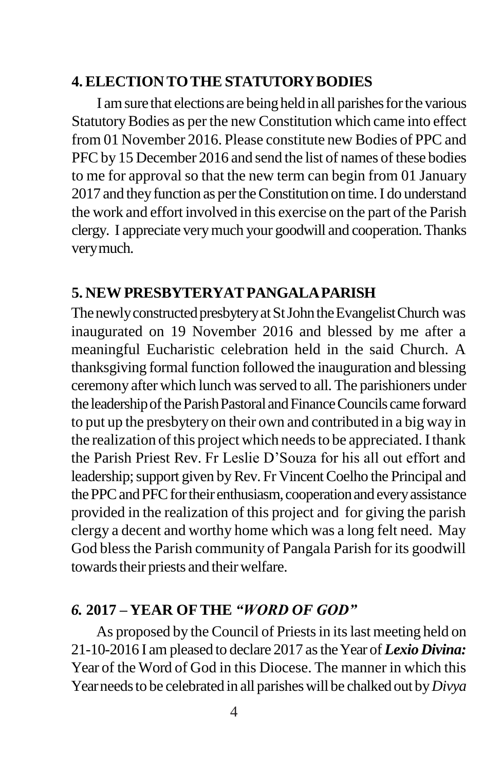#### **4.ELECTION TOTHESTATUTORYBODIES**

I am sure that elections are being held in all parishes for the various StatutoryBodies as per the new Constitution which came into effect from 01 November 2016. Please constitute new Bodies of PPC and PFC by 15 December 2016 and send the list of names of these bodies to me for approval so that the new term can begin from 01 January 2017 and they function as per the Constitution on time. I do understand the work and effort involved in this exercise on the part of the Parish clergy. I appreciate verymuch your goodwill and cooperation.Thanks verymuch.

#### **5. NEWPRESBYTERYATPANGALAPARISH**

The newly constructed presbytery at St John the Evangelist Church was inaugurated on 19 November 2016 and blessed by me after a meaningful Eucharistic celebration held in the said Church. A thanksgiving formal function followed the inauguration and blessing ceremony after which lunch wasserved to all. The parishioners under the leadership of the Parish Pastoral and Finance Councils came forward to put up the presbytery on their own and contributed in a big way in the realization of this project which needs to be appreciated. I thank the Parish Priest Rev. Fr Leslie D'Souza for his all out effort and leadership; support given by Rev. Fr Vincent Coelho the Principal and the PPC and PFC for their enthusiasm, cooperation and every assistance provided in the realization of this project and for giving the parish clergy a decent and worthy home which was a long felt need. May God bless the Parish community of Pangala Parish for its goodwill towards their priests and their welfare.

### *6.* **2017 – YEAR OFTHE** *"WORD OF GOD"*

As proposed by the Council of Priests in its last meeting held on 21-10-2016 I am pleased to declare 2017 astheYear of *Lexio Divina:*  Year of the Word of God in this Diocese. The manner in which this Yearneedsto be celebrated in all parisheswill be chalked out by*Divya*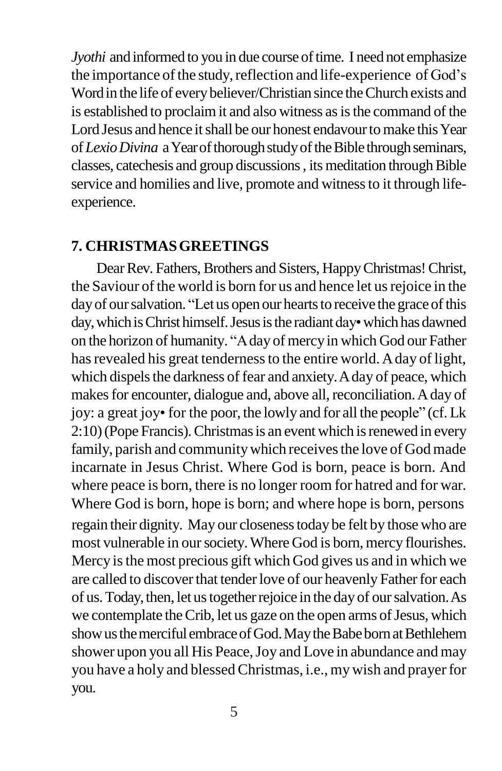*Jyothi* and informed to you in due course of time. I need not emphasize the importance of the study, reflection and life-experience of God's Wordin the life of everybeliever/Christian since theChurch exists and is established to proclaim it and also witness as is the command of the Lord Jesus and hence it shall be our honest endavour to make this Year of *Lexio Divina* a Year of thorough study of the Bible through seminars, classes, catechesis and group discussions, its meditation through Bible service and homilies and live, promote and witness to it through lifeexperience.

#### **7. CHRISTMASGREETINGS**

Dear Rev. Fathers, Brothers and Sisters, Happy Christmas! Christ, the Saviour of the world is born for us and hence let us rejoice in the day of our salvation. "Let us open our hearts to receive the grace of this day, which is Christ himself. Jesus is the radiant day•which has dawned on the horizon of humanity. "A day of mercy in which God our Father has revealed his great tenderness to the entire world. A day of light, which dispels the darkness of fear and anxiety. A day of peace, which makes for encounter, dialogue and, above all, reconciliation. A day of joy: a great joy• for the poor, the lowly and for all the people" (cf. Lk 2:10) (Pope Francis). Christmas is an event which is renewed in every family, parish and community which receives the love of God made incarnate in Jesus Christ. Where God is born, peace is born. And where peace is born, there is no longer room for hatred and for war. Where God is born, hope is born; and where hope is born, persons regain their dignity. May our closenesstoday be felt by those who are most vulnerable in oursociety.Where God is born, mercy flourishes. Mercy is the most precious gift which God gives us and in which we are called to discover that tender love of our heavenly Father for each of us.Today,then, let ustogetherrejoice in the dayof oursalvation.As we contemplate the Crib, let us gaze on the open arms of Jesus, which show us the merciful embrace of God. May the Babe born at Bethlehem shower upon you all His Peace, Joy and Love in abundance and may you have a holy and blessedChristmas, i.e., mywish and prayerfor you.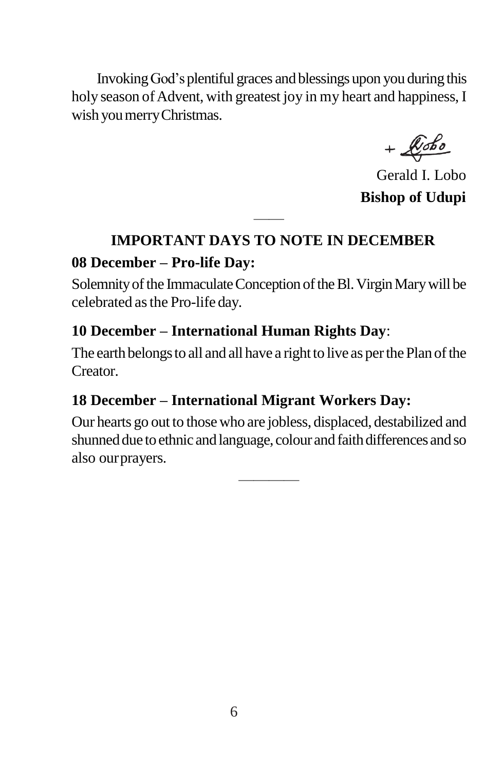InvokingGod'splentiful graces and blessings upon you during this holy season of Advent, with greatest joy in my heart and happiness, I wish youmerryChristmas.

 $+$  $k$ obo

Gerald I. Lobo **Bishop of Udupi**

# —— **IMPORTANT DAYS TO NOTE IN DECEMBER**

## **08 December – Pro-life Day:**

Solemnity of the Immaculate Conception of the Bl. Virgin Mary will be celebrated asthe Pro-life day.

## **10 December – International Human Rights Day**:

The earth belongs to all and all have a right to live as per the Plan of the Creator.

## **18 December – International Migrant Workers Day:**

Our hearts go out to those who are jobless, displaced, destabilized and shunned due to ethnic and language, colour and faith differences and so also ourprayers.

————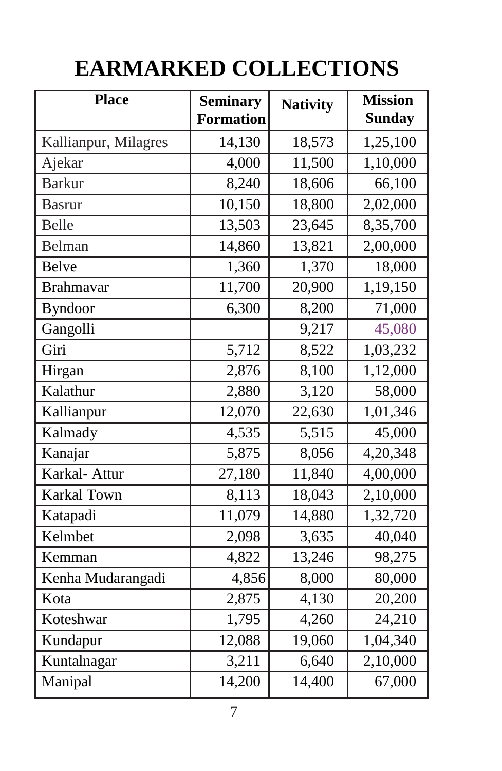# **EARMARKED COLLECTIONS**

| <b>Place</b>         | <b>Seminary</b><br><b>Formation</b> | <b>Nativity</b> | <b>Mission</b><br><b>Sunday</b> |
|----------------------|-------------------------------------|-----------------|---------------------------------|
| Kallianpur, Milagres | 14,130                              | 18,573          | 1,25,100                        |
| Ajekar               | 4,000                               | 11,500          | 1,10,000                        |
| <b>Barkur</b>        | 8,240                               | 18,606          | 66,100                          |
| <b>Basrur</b>        | 10,150                              | 18,800          | 2,02,000                        |
| <b>Belle</b>         | 13,503                              | 23,645          | 8,35,700                        |
| Belman               | 14,860                              | 13,821          | 2,00,000                        |
| <b>Belve</b>         | 1,360                               | 1,370           | 18,000                          |
| <b>Brahmavar</b>     | 11,700                              | 20,900          | 1,19,150                        |
| <b>Byndoor</b>       | 6,300                               | 8,200           | 71,000                          |
| Gangolli             |                                     | 9,217           | 45,080                          |
| Giri                 | 5,712                               | 8,522           | 1,03,232                        |
| Hirgan               | 2,876                               | 8,100           | 1,12,000                        |
| Kalathur             | 2,880                               | 3,120           | 58,000                          |
| Kallianpur           | 12,070                              | 22,630          | 1,01,346                        |
| Kalmady              | 4,535                               | 5,515           | 45,000                          |
| Kanajar              | 5,875                               | 8,056           | 4,20,348                        |
| Karkal- Attur        | 27,180                              | 11,840          | 4,00,000                        |
| <b>Karkal Town</b>   | 8,113                               | 18,043          | 2,10,000                        |
| Katapadi             | 11,079                              | 14,880          | 1,32,720                        |
| Kelmbet              | 2,098                               | 3,635           | 40,040                          |
| Kemman               | 4,822                               | 13,246          | 98,275                          |
| Kenha Mudarangadi    | 4,856                               | 8,000           | 80,000                          |
| Kota                 | 2,875                               | 4,130           | 20,200                          |
| Koteshwar            | 1,795                               | 4,260           | 24,210                          |
| Kundapur             | 12,088                              | 19,060          | 1,04,340                        |
| Kuntalnagar          | 3,211                               | 6,640           | 2,10,000                        |
| Manipal              | 14,200                              | 14,400          | 67,000                          |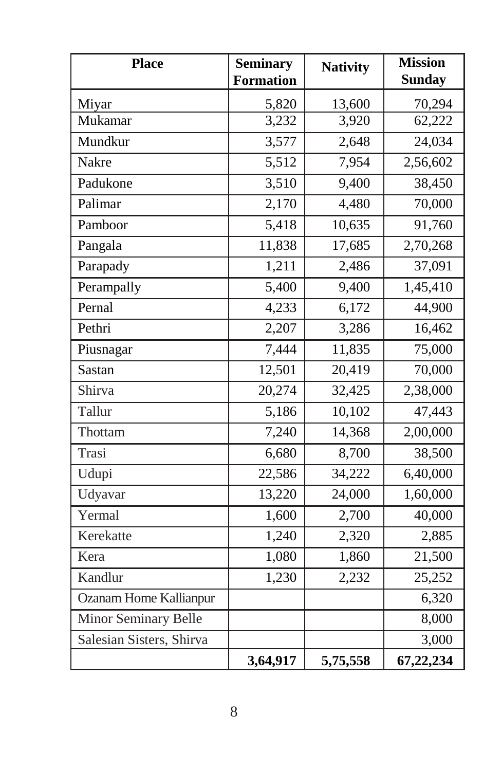| <b>Place</b>                  | <b>Seminary</b><br><b>Formation</b> | <b>Nativity</b> | <b>Mission</b><br><b>Sunday</b> |
|-------------------------------|-------------------------------------|-----------------|---------------------------------|
| Miyar                         | 5,820                               | 13,600          | 70,294                          |
| Mukamar                       | 3,232                               | 3,920           | 62,222                          |
| Mundkur                       | 3,577                               | 2,648           | 24,034                          |
| <b>Nakre</b>                  | 5,512                               | 7,954           | 2,56,602                        |
| Padukone                      | 3,510                               | 9,400           | 38,450                          |
| Palimar                       | 2,170                               | 4,480           | 70,000                          |
| Pamboor                       | 5,418                               | 10,635          | 91,760                          |
| Pangala                       | 11,838                              | 17,685          | 2,70,268                        |
| Parapady                      | 1,211                               | 2,486           | 37,091                          |
| Perampally                    | 5,400                               | 9,400           | 1,45,410                        |
| Pernal                        | 4,233                               | 6,172           | 44,900                          |
| Pethri                        | 2,207                               | 3,286           | 16,462                          |
| Piusnagar                     | 7,444                               | 11,835          | 75,000                          |
| Sastan                        | 12,501                              | 20,419          | 70,000                          |
| Shirva                        | 20,274                              | 32,425          | 2,38,000                        |
| Tallur                        | 5,186                               | 10,102          | 47,443                          |
| Thottam                       | 7,240                               | 14,368          | 2,00,000                        |
| Trasi                         | 6,680                               | 8,700           | 38,500                          |
| Udupi                         | 22,586                              | 34,222          | 6,40,000                        |
| Udyavar                       | 13,220                              | 24,000          | 1,60,000                        |
| Yermal                        | 1,600                               | 2,700           | 40,000                          |
| Kerekatte                     | 1,240                               | 2,320           | 2,885                           |
| Kera                          | 1,080                               | 1,860           | 21,500                          |
| Kandlur                       | 1,230                               | 2,232           | 25,252                          |
| <b>Ozanam Home Kallianpur</b> |                                     |                 | 6,320                           |
| <b>Minor Seminary Belle</b>   |                                     |                 | 8,000                           |
| Salesian Sisters, Shirva      |                                     |                 | 3,000                           |
|                               | 3,64,917                            | 5,75,558        | 67,22,234                       |